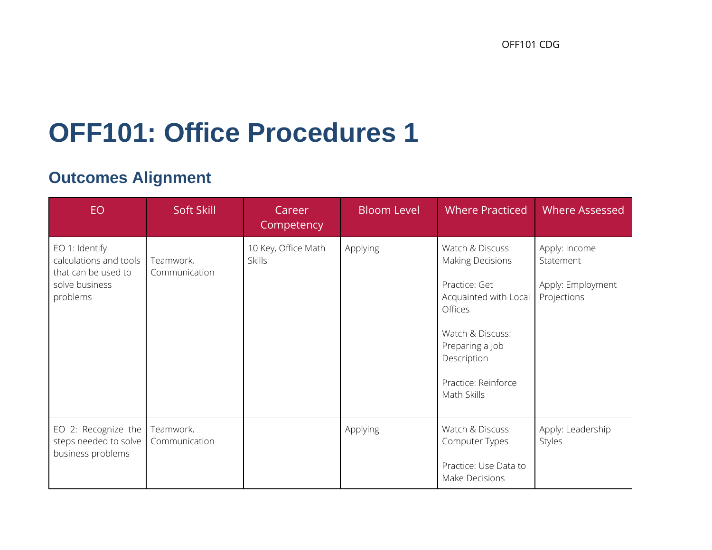# **OFF101: Office Procedures 1**

# **Outcomes Alignment**

| EO.                                                                                           | Soft Skill                 | Career<br>Competency                 | <b>Bloom Level</b> | <b>Where Practiced</b>                                                                                                                                                                              | <b>Where Assessed</b>                                          |
|-----------------------------------------------------------------------------------------------|----------------------------|--------------------------------------|--------------------|-----------------------------------------------------------------------------------------------------------------------------------------------------------------------------------------------------|----------------------------------------------------------------|
| EO 1: Identify<br>calculations and tools<br>that can be used to<br>solve business<br>problems | Teamwork,<br>Communication | 10 Key, Office Math<br><b>Skills</b> | Applying           | Watch & Discuss:<br><b>Making Decisions</b><br>Practice: Get<br>Acquainted with Local<br><b>Offices</b><br>Watch & Discuss:<br>Preparing a Job<br>Description<br>Practice: Reinforce<br>Math Skills | Apply: Income<br>Statement<br>Apply: Employment<br>Projections |
| EO 2: Recognize the<br>steps needed to solve<br>business problems                             | Teamwork,<br>Communication |                                      | Applying           | Watch & Discuss:<br>Computer Types<br>Practice: Use Data to<br>Make Decisions                                                                                                                       | Apply: Leadership<br>Styles                                    |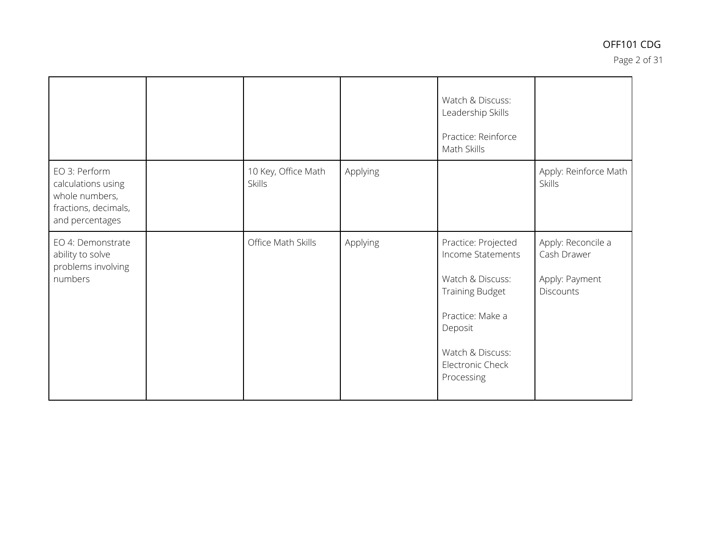Page 2 of 31

|                                                                                                  |                                      |          | Watch & Discuss:<br>Leadership Skills<br>Practice: Reinforce<br>Math Skills                                                                                                        |                                                                         |
|--------------------------------------------------------------------------------------------------|--------------------------------------|----------|------------------------------------------------------------------------------------------------------------------------------------------------------------------------------------|-------------------------------------------------------------------------|
| EO 3: Perform<br>calculations using<br>whole numbers,<br>fractions, decimals,<br>and percentages | 10 Key, Office Math<br><b>Skills</b> | Applying |                                                                                                                                                                                    | Apply: Reinforce Math<br><b>Skills</b>                                  |
| EO 4: Demonstrate<br>ability to solve<br>problems involving<br>numbers                           | Office Math Skills                   | Applying | Practice: Projected<br>Income Statements<br>Watch & Discuss:<br><b>Training Budget</b><br>Practice: Make a<br>Deposit<br>Watch & Discuss:<br><b>Electronic Check</b><br>Processing | Apply: Reconcile a<br>Cash Drawer<br>Apply: Payment<br><b>Discounts</b> |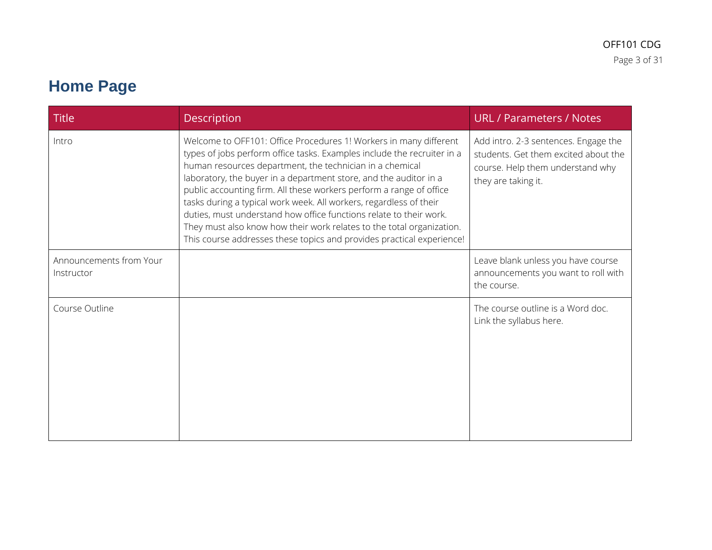# **Home Page**

| <b>Title</b>                          | <b>Description</b>                                                                                                                                                                                                                                                                                                                                                                                                                                                                                                                                                                                                                                 | <b>URL / Parameters / Notes</b>                                                                                                         |
|---------------------------------------|----------------------------------------------------------------------------------------------------------------------------------------------------------------------------------------------------------------------------------------------------------------------------------------------------------------------------------------------------------------------------------------------------------------------------------------------------------------------------------------------------------------------------------------------------------------------------------------------------------------------------------------------------|-----------------------------------------------------------------------------------------------------------------------------------------|
| Intro                                 | Welcome to OFF101: Office Procedures 1! Workers in many different<br>types of jobs perform office tasks. Examples include the recruiter in a<br>human resources department, the technician in a chemical<br>laboratory, the buyer in a department store, and the auditor in a<br>public accounting firm. All these workers perform a range of office<br>tasks during a typical work week. All workers, regardless of their<br>duties, must understand how office functions relate to their work.<br>They must also know how their work relates to the total organization.<br>This course addresses these topics and provides practical experience! | Add intro. 2-3 sentences. Engage the<br>students. Get them excited about the<br>course. Help them understand why<br>they are taking it. |
| Announcements from Your<br>Instructor |                                                                                                                                                                                                                                                                                                                                                                                                                                                                                                                                                                                                                                                    | Leave blank unless you have course<br>announcements you want to roll with<br>the course.                                                |
| Course Outline                        |                                                                                                                                                                                                                                                                                                                                                                                                                                                                                                                                                                                                                                                    | The course outline is a Word doc.<br>Link the syllabus here.                                                                            |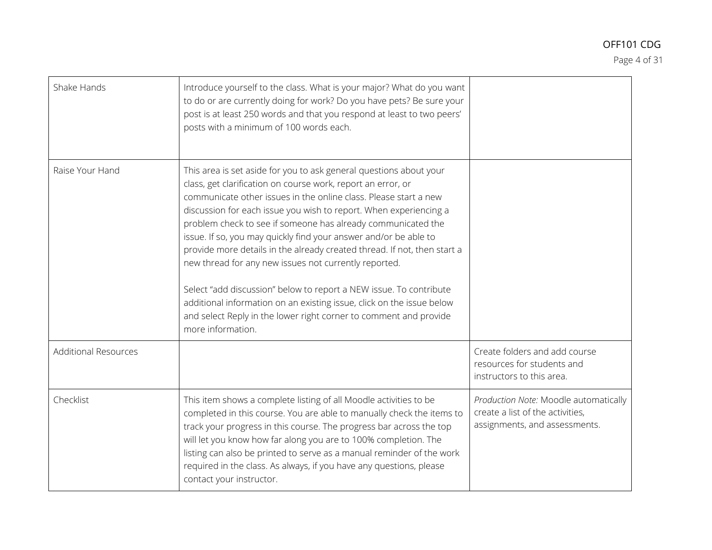Page 4 of 31

| Shake Hands                 | Introduce yourself to the class. What is your major? What do you want<br>to do or are currently doing for work? Do you have pets? Be sure your<br>post is at least 250 words and that you respond at least to two peers'<br>posts with a minimum of 100 words each.                                                                                                                                                                                                                                                                                                                                                                                                                                                                                                                           |                                                                                                            |
|-----------------------------|-----------------------------------------------------------------------------------------------------------------------------------------------------------------------------------------------------------------------------------------------------------------------------------------------------------------------------------------------------------------------------------------------------------------------------------------------------------------------------------------------------------------------------------------------------------------------------------------------------------------------------------------------------------------------------------------------------------------------------------------------------------------------------------------------|------------------------------------------------------------------------------------------------------------|
| Raise Your Hand             | This area is set aside for you to ask general questions about your<br>class, get clarification on course work, report an error, or<br>communicate other issues in the online class. Please start a new<br>discussion for each issue you wish to report. When experiencing a<br>problem check to see if someone has already communicated the<br>issue. If so, you may quickly find your answer and/or be able to<br>provide more details in the already created thread. If not, then start a<br>new thread for any new issues not currently reported.<br>Select "add discussion" below to report a NEW issue. To contribute<br>additional information on an existing issue, click on the issue below<br>and select Reply in the lower right corner to comment and provide<br>more information. |                                                                                                            |
| <b>Additional Resources</b> |                                                                                                                                                                                                                                                                                                                                                                                                                                                                                                                                                                                                                                                                                                                                                                                               | Create folders and add course<br>resources for students and<br>instructors to this area.                   |
| Checklist                   | This item shows a complete listing of all Moodle activities to be<br>completed in this course. You are able to manually check the items to<br>track your progress in this course. The progress bar across the top<br>will let you know how far along you are to 100% completion. The<br>listing can also be printed to serve as a manual reminder of the work<br>required in the class. As always, if you have any questions, please<br>contact your instructor.                                                                                                                                                                                                                                                                                                                              | Production Note: Moodle automatically<br>create a list of the activities,<br>assignments, and assessments. |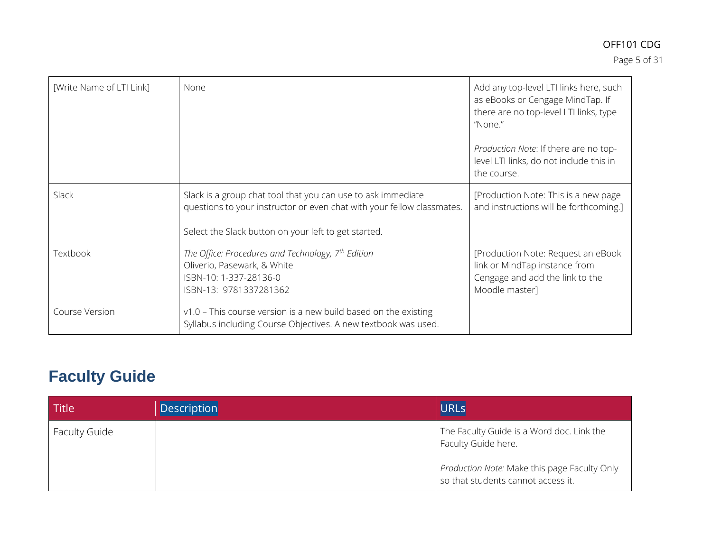Page 5 of 31

| [Write Name of LTI Link] | None                                                                                                                                                                                           | Add any top-level LTI links here, such<br>as eBooks or Cengage MindTap. If<br>there are no top-level LTI links, type<br>"None." |
|--------------------------|------------------------------------------------------------------------------------------------------------------------------------------------------------------------------------------------|---------------------------------------------------------------------------------------------------------------------------------|
|                          |                                                                                                                                                                                                | Production Note: If there are no top-<br>level LTI links, do not include this in<br>the course.                                 |
| Slack                    | Slack is a group chat tool that you can use to ask immediate<br>questions to your instructor or even chat with your fellow classmates.<br>Select the Slack button on your left to get started. | [Production Note: This is a new page]<br>and instructions will be forthcoming.]                                                 |
| Textbook                 | The Office: Procedures and Technology, 7th Edition<br>Oliverio, Pasewark, & White<br>ISBN-10: 1-337-28136-0<br>ISBN-13: 9781337281362                                                          | [Production Note: Request an eBook]<br>link or MindTap instance from<br>Cengage and add the link to the<br>Moodle master]       |
| Course Version           | $v1.0$ – This course version is a new build based on the existing<br>Syllabus including Course Objectives. A new textbook was used.                                                            |                                                                                                                                 |

# **Faculty Guide**

| Title                | <b>Description</b> | <b>URLs</b>                                                                          |
|----------------------|--------------------|--------------------------------------------------------------------------------------|
| <b>Faculty Guide</b> |                    | The Faculty Guide is a Word doc. Link the<br>Faculty Guide here.                     |
|                      |                    | Production Note: Make this page Faculty Only<br>I so that students cannot access it. |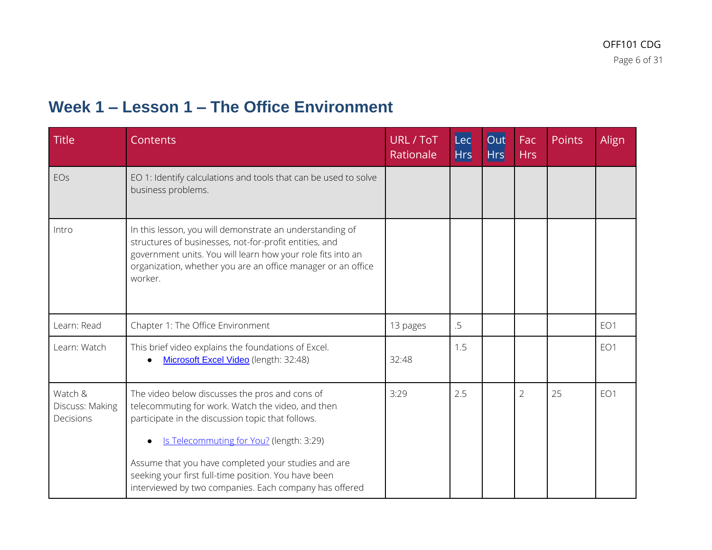### **Week 1 – Lesson 1 – The Office Environment**

| <b>Title</b>                            | <b>Contents</b>                                                                                                                                                                                                                                              | <b>URL / ToT</b><br>Rationale | Lec<br><b>Hrs</b> | Out<br><b>Hrs</b> | Fac<br><b>Hrs</b> | Points | Align           |
|-----------------------------------------|--------------------------------------------------------------------------------------------------------------------------------------------------------------------------------------------------------------------------------------------------------------|-------------------------------|-------------------|-------------------|-------------------|--------|-----------------|
| EOs                                     | EO 1: Identify calculations and tools that can be used to solve<br>business problems.                                                                                                                                                                        |                               |                   |                   |                   |        |                 |
| Intro                                   | In this lesson, you will demonstrate an understanding of<br>structures of businesses, not-for-profit entities, and<br>government units. You will learn how your role fits into an<br>organization, whether you are an office manager or an office<br>worker. |                               |                   |                   |                   |        |                 |
| Learn: Read                             | Chapter 1: The Office Environment                                                                                                                                                                                                                            | 13 pages                      | .5                |                   |                   |        | EO1             |
| Learn: Watch                            | This brief video explains the foundations of Excel.<br>Microsoft Excel Video (length: 32:48)                                                                                                                                                                 | 32:48                         | 1.5               |                   |                   |        | EO1             |
| Watch &<br>Discuss: Making<br>Decisions | The video below discusses the pros and cons of<br>telecommuting for work. Watch the video, and then<br>participate in the discussion topic that follows.<br>Is Telecommuting for You? (length: 3:29)                                                         | 3:29                          | 2.5               |                   | $\overline{2}$    | 25     | EO <sub>1</sub> |
|                                         | Assume that you have completed your studies and are<br>seeking your first full-time position. You have been<br>interviewed by two companies. Each company has offered                                                                                        |                               |                   |                   |                   |        |                 |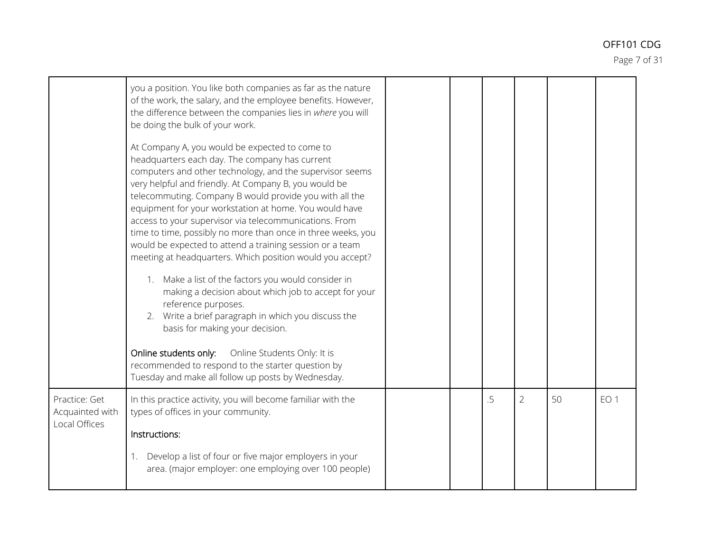Page 7 of 31

|                                                   | you a position. You like both companies as far as the nature<br>of the work, the salary, and the employee benefits. However,<br>the difference between the companies lies in where you will<br>be doing the bulk of your work.<br>At Company A, you would be expected to come to<br>headquarters each day. The company has current<br>computers and other technology, and the supervisor seems<br>very helpful and friendly. At Company B, you would be<br>telecommuting. Company B would provide you with all the<br>equipment for your workstation at home. You would have<br>access to your supervisor via telecommunications. From<br>time to time, possibly no more than once in three weeks, you<br>would be expected to attend a training session or a team<br>meeting at headquarters. Which position would you accept?<br>1. Make a list of the factors you would consider in<br>making a decision about which job to accept for your<br>reference purposes.<br>2. Write a brief paragraph in which you discuss the<br>basis for making your decision.<br>Online students only: Online Students Only: It is<br>recommended to respond to the starter question by<br>Tuesday and make all follow up posts by Wednesday. |  |    |                |    |                 |  |
|---------------------------------------------------|---------------------------------------------------------------------------------------------------------------------------------------------------------------------------------------------------------------------------------------------------------------------------------------------------------------------------------------------------------------------------------------------------------------------------------------------------------------------------------------------------------------------------------------------------------------------------------------------------------------------------------------------------------------------------------------------------------------------------------------------------------------------------------------------------------------------------------------------------------------------------------------------------------------------------------------------------------------------------------------------------------------------------------------------------------------------------------------------------------------------------------------------------------------------------------------------------------------------------------|--|----|----------------|----|-----------------|--|
| Practice: Get<br>Acquainted with<br>Local Offices | In this practice activity, you will become familiar with the<br>types of offices in your community.<br>Instructions:<br>Develop a list of four or five major employers in your<br>area. (major employer: one employing over 100 people)                                                                                                                                                                                                                                                                                                                                                                                                                                                                                                                                                                                                                                                                                                                                                                                                                                                                                                                                                                                         |  | .5 | $\overline{2}$ | 50 | EO <sub>1</sub> |  |
|                                                   |                                                                                                                                                                                                                                                                                                                                                                                                                                                                                                                                                                                                                                                                                                                                                                                                                                                                                                                                                                                                                                                                                                                                                                                                                                 |  |    |                |    |                 |  |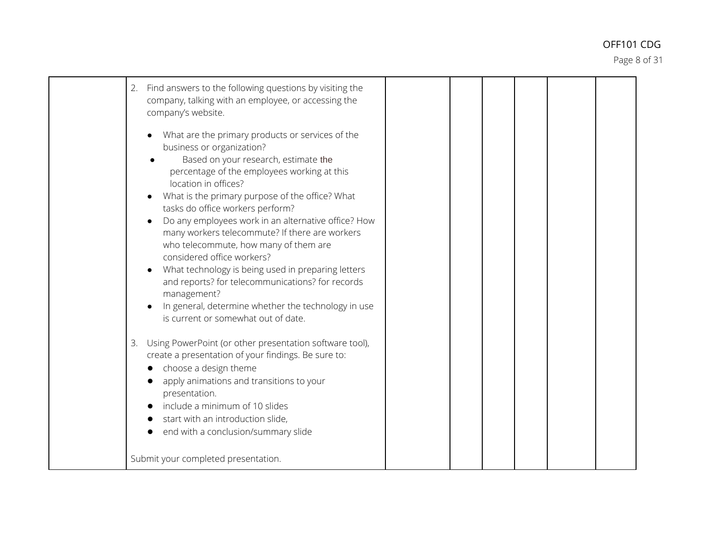Page 8 of 31

| Find answers to the following questions by visiting the<br>2.<br>company, talking with an employee, or accessing the<br>company's website.                                                                                                                                                                                                                                                                                                                                                                                                                                                                                                                                                 |
|--------------------------------------------------------------------------------------------------------------------------------------------------------------------------------------------------------------------------------------------------------------------------------------------------------------------------------------------------------------------------------------------------------------------------------------------------------------------------------------------------------------------------------------------------------------------------------------------------------------------------------------------------------------------------------------------|
| What are the primary products or services of the<br>business or organization?<br>Based on your research, estimate the<br>percentage of the employees working at this<br>location in offices?<br>What is the primary purpose of the office? What<br>tasks do office workers perform?<br>Do any employees work in an alternative office? How<br>many workers telecommute? If there are workers<br>who telecommute, how many of them are<br>considered office workers?<br>What technology is being used in preparing letters<br>and reports? for telecommunications? for records<br>management?<br>In general, determine whether the technology in use<br>is current or somewhat out of date. |
| Using PowerPoint (or other presentation software tool),<br>3.<br>create a presentation of your findings. Be sure to:<br>choose a design theme<br>apply animations and transitions to your<br>presentation.<br>include a minimum of 10 slides<br>start with an introduction slide,<br>end with a conclusion/summary slide                                                                                                                                                                                                                                                                                                                                                                   |
| Submit your completed presentation.                                                                                                                                                                                                                                                                                                                                                                                                                                                                                                                                                                                                                                                        |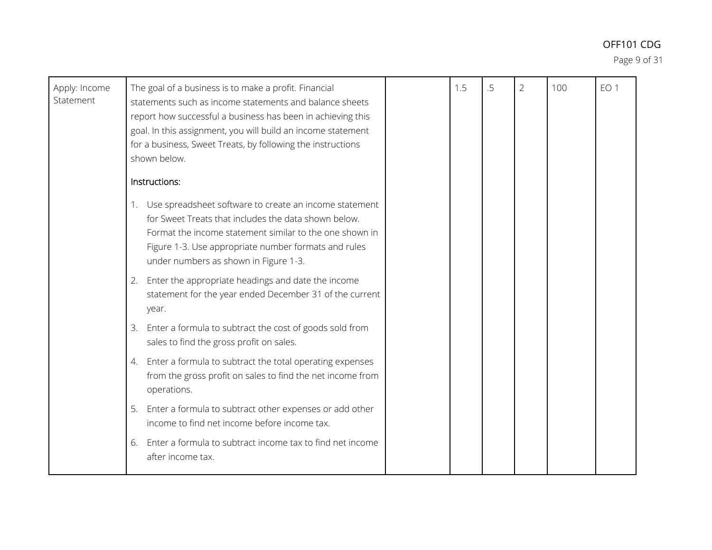Page 9 of 31

| Apply: Income<br>Statement | The goal of a business is to make a profit. Financial<br>statements such as income statements and balance sheets<br>report how successful a business has been in achieving this<br>goal. In this assignment, you will build an income statement<br>for a business, Sweet Treats, by following the instructions<br>shown below.                                                                                                                                                                                                                                                                                                                                                                                                                                                                                                                                                                      | 1.5 | .5 | $\overline{2}$ | 100 | EO <sub>1</sub> |
|----------------------------|-----------------------------------------------------------------------------------------------------------------------------------------------------------------------------------------------------------------------------------------------------------------------------------------------------------------------------------------------------------------------------------------------------------------------------------------------------------------------------------------------------------------------------------------------------------------------------------------------------------------------------------------------------------------------------------------------------------------------------------------------------------------------------------------------------------------------------------------------------------------------------------------------------|-----|----|----------------|-----|-----------------|
|                            | Instructions:<br>1. Use spreadsheet software to create an income statement<br>for Sweet Treats that includes the data shown below.<br>Format the income statement similar to the one shown in<br>Figure 1-3. Use appropriate number formats and rules<br>under numbers as shown in Figure 1-3.<br>Enter the appropriate headings and date the income<br>2.<br>statement for the year ended December 31 of the current<br>year.<br>Enter a formula to subtract the cost of goods sold from<br>3.<br>sales to find the gross profit on sales.<br>Enter a formula to subtract the total operating expenses<br>4.<br>from the gross profit on sales to find the net income from<br>operations.<br>Enter a formula to subtract other expenses or add other<br>5.<br>income to find net income before income tax.<br>Enter a formula to subtract income tax to find net income<br>6.<br>after income tax. |     |    |                |     |                 |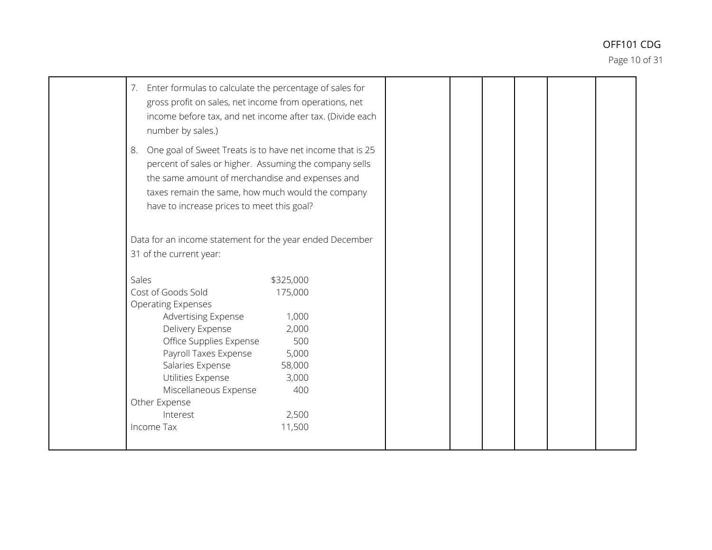Page 10 of 31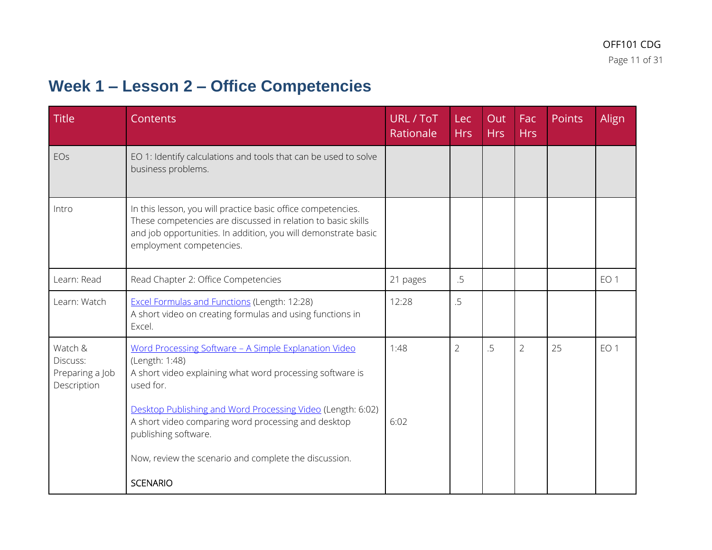# **Week 1 – Lesson 2 – Office Competencies**

| <b>Title</b>                                          | Contents                                                                                                                                                                                                                                                                                                                                                 | URL / ToT<br>Rationale | Lec<br><b>Hrs</b> | Out<br><b>Hrs</b> | Fac<br><b>Hrs</b> | Points | Align           |
|-------------------------------------------------------|----------------------------------------------------------------------------------------------------------------------------------------------------------------------------------------------------------------------------------------------------------------------------------------------------------------------------------------------------------|------------------------|-------------------|-------------------|-------------------|--------|-----------------|
| EOs                                                   | EO 1: Identify calculations and tools that can be used to solve<br>business problems.                                                                                                                                                                                                                                                                    |                        |                   |                   |                   |        |                 |
| Intro                                                 | In this lesson, you will practice basic office competencies.<br>These competencies are discussed in relation to basic skills<br>and job opportunities. In addition, you will demonstrate basic<br>employment competencies.                                                                                                                               |                        |                   |                   |                   |        |                 |
| Learn: Read                                           | Read Chapter 2: Office Competencies                                                                                                                                                                                                                                                                                                                      | 21 pages               | .5                |                   |                   |        | EO <sub>1</sub> |
| Learn: Watch                                          | <b>Excel Formulas and Functions (Length: 12:28)</b><br>A short video on creating formulas and using functions in<br>Excel.                                                                                                                                                                                                                               | 12:28                  | 5.                |                   |                   |        |                 |
| Watch &<br>Discuss:<br>Preparing a Job<br>Description | Word Processing Software - A Simple Explanation Video<br>(Length: 1:48)<br>A short video explaining what word processing software is<br>used for.<br>Desktop Publishing and Word Processing Video (Length: 6:02)<br>A short video comparing word processing and desktop<br>publishing software.<br>Now, review the scenario and complete the discussion. | 1:48<br>6:02           | $\overline{2}$    | .5                | $\overline{2}$    | 25     | EO <sub>1</sub> |
|                                                       | <b>SCENARIO</b>                                                                                                                                                                                                                                                                                                                                          |                        |                   |                   |                   |        |                 |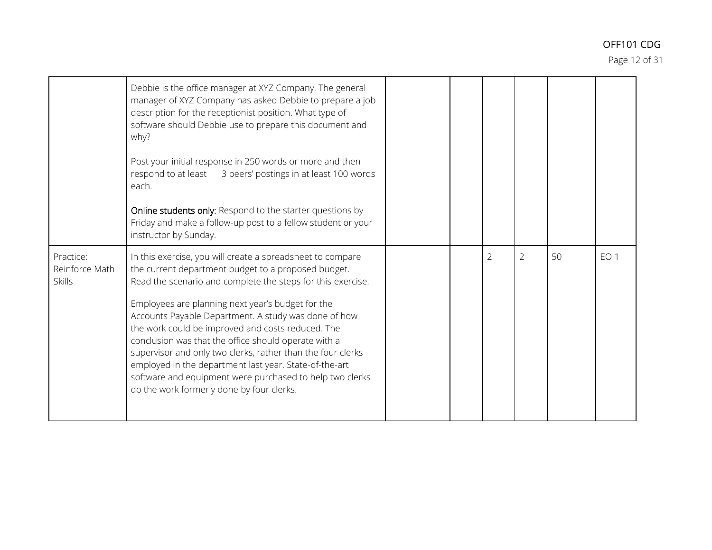Page 12 of 31

|                                              | Debbie is the office manager at XYZ Company. The general<br>manager of XYZ Company has asked Debbie to prepare a job<br>description for the receptionist position. What type of<br>software should Debbie use to prepare this document and<br>why?<br>Post your initial response in 250 words or more and then<br>respond to at least<br>3 peers' postings in at least 100 words<br>each.<br>Online students only: Respond to the starter questions by<br>Friday and make a follow-up post to a fellow student or your<br>instructor by Sunday.                                                                                              |  |                |                |    |                 |
|----------------------------------------------|----------------------------------------------------------------------------------------------------------------------------------------------------------------------------------------------------------------------------------------------------------------------------------------------------------------------------------------------------------------------------------------------------------------------------------------------------------------------------------------------------------------------------------------------------------------------------------------------------------------------------------------------|--|----------------|----------------|----|-----------------|
| Practice:<br>Reinforce Math<br><b>Skills</b> | In this exercise, you will create a spreadsheet to compare<br>the current department budget to a proposed budget.<br>Read the scenario and complete the steps for this exercise.<br>Employees are planning next year's budget for the<br>Accounts Payable Department. A study was done of how<br>the work could be improved and costs reduced. The<br>conclusion was that the office should operate with a<br>supervisor and only two clerks, rather than the four clerks<br>employed in the department last year. State-of-the-art<br>software and equipment were purchased to help two clerks<br>do the work formerly done by four clerks. |  | $\overline{2}$ | $\overline{2}$ | 50 | EO <sub>1</sub> |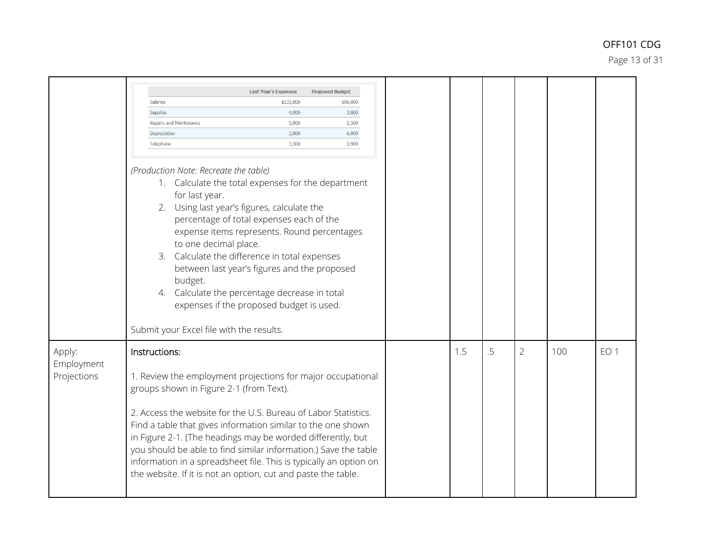Page 13 of 31

|                                     |                                                                                                                                                                                                                                                                                                                                                                                                                                                                                                                                   | <b>Last Year's Expenses</b>                                                                                                                                                                                                                                                                                                                                                                | <b>Proposed Budget</b> |
|-------------------------------------|-----------------------------------------------------------------------------------------------------------------------------------------------------------------------------------------------------------------------------------------------------------------------------------------------------------------------------------------------------------------------------------------------------------------------------------------------------------------------------------------------------------------------------------|--------------------------------------------------------------------------------------------------------------------------------------------------------------------------------------------------------------------------------------------------------------------------------------------------------------------------------------------------------------------------------------------|------------------------|
|                                     | Salaries<br>Supplies                                                                                                                                                                                                                                                                                                                                                                                                                                                                                                              | \$133,000<br>4,000                                                                                                                                                                                                                                                                                                                                                                         | \$96,000<br>3,800      |
|                                     | Repairs and Maintenance                                                                                                                                                                                                                                                                                                                                                                                                                                                                                                           | 5,000                                                                                                                                                                                                                                                                                                                                                                                      | 2,500                  |
|                                     | Depreciation                                                                                                                                                                                                                                                                                                                                                                                                                                                                                                                      | 3,000                                                                                                                                                                                                                                                                                                                                                                                      | 6,000                  |
|                                     | Telephone                                                                                                                                                                                                                                                                                                                                                                                                                                                                                                                         | 3,500                                                                                                                                                                                                                                                                                                                                                                                      | 3,900                  |
|                                     |                                                                                                                                                                                                                                                                                                                                                                                                                                                                                                                                   |                                                                                                                                                                                                                                                                                                                                                                                            |                        |
|                                     | (Production Note: Recreate the table)<br>for last year.<br>to one decimal place.<br>budget.<br>Submit your Excel file with the results.                                                                                                                                                                                                                                                                                                                                                                                           | 1. Calculate the total expenses for the department<br>2. Using last year's figures, calculate the<br>percentage of total expenses each of the<br>expense items represents. Round percentages<br>3. Calculate the difference in total expenses<br>between last year's figures and the proposed<br>4. Calculate the percentage decrease in total<br>expenses if the proposed budget is used. |                        |
| Apply:<br>Employment<br>Projections | Instructions:<br>1. Review the employment projections for major occupational<br>groups shown in Figure 2-1 (from Text).<br>2. Access the website for the U.S. Bureau of Labor Statistics.<br>Find a table that gives information similar to the one shown<br>in Figure 2-1. (The headings may be worded differently, but<br>you should be able to find similar information.) Save the table<br>information in a spreadsheet file. This is typically an option on<br>the website. If it is not an option, cut and paste the table. |                                                                                                                                                                                                                                                                                                                                                                                            |                        |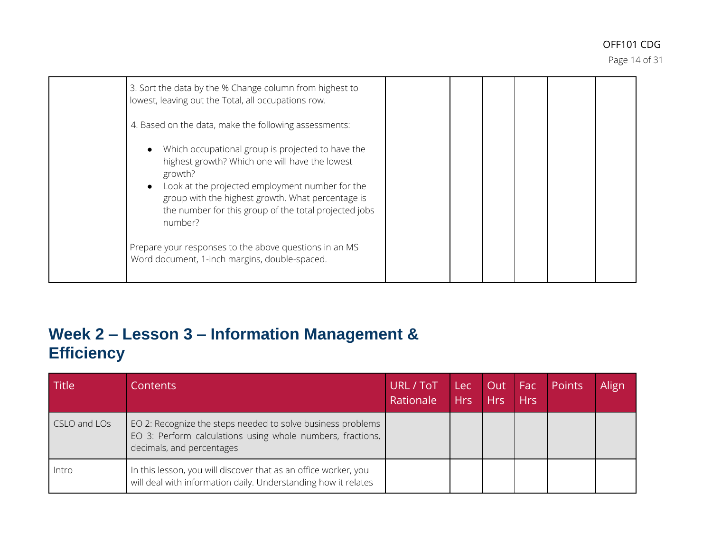Page 14 of 31

| 3. Sort the data by the % Change column from highest to<br>lowest, leaving out the Total, all occupations row.                                                                                                                                                                             |  |  |  |
|--------------------------------------------------------------------------------------------------------------------------------------------------------------------------------------------------------------------------------------------------------------------------------------------|--|--|--|
| 4. Based on the data, make the following assessments:                                                                                                                                                                                                                                      |  |  |  |
| Which occupational group is projected to have the<br>highest growth? Which one will have the lowest<br>growth?<br>Look at the projected employment number for the<br>group with the highest growth. What percentage is<br>the number for this group of the total projected jobs<br>number? |  |  |  |
| Prepare your responses to the above questions in an MS<br>Word document, 1-inch margins, double-spaced.                                                                                                                                                                                    |  |  |  |

### **Week 2 – Lesson 3 – Information Management & Efficiency**

| Title        | Contents                                                                                                                                               | URL / ToT<br>Rationale | Lec<br><b>Hrs</b> | Out Fac<br>Hrs | <b>Hrs</b> | Points | Align |
|--------------|--------------------------------------------------------------------------------------------------------------------------------------------------------|------------------------|-------------------|----------------|------------|--------|-------|
| CSLO and LOs | EO 2: Recognize the steps needed to solve business problems<br>EO 3: Perform calculations using whole numbers, fractions,<br>decimals, and percentages |                        |                   |                |            |        |       |
| Intro        | In this lesson, you will discover that as an office worker, you<br>will deal with information daily. Understanding how it relates                      |                        |                   |                |            |        |       |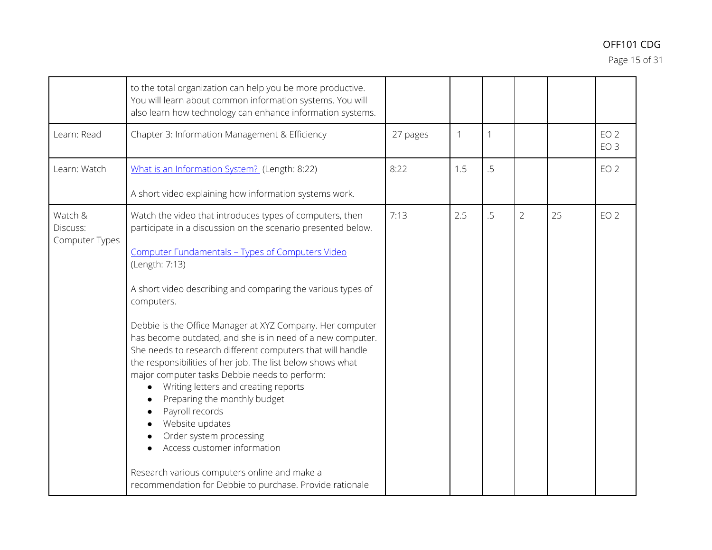Page 15 of 31

|                                       | to the total organization can help you be more productive.<br>You will learn about common information systems. You will<br>also learn how technology can enhance information systems.                                                                                                                                                                                                                                                                                                                                                                                                                                                                                                                                                                                                                                                                                   |          |     |              |                |    |                                    |
|---------------------------------------|-------------------------------------------------------------------------------------------------------------------------------------------------------------------------------------------------------------------------------------------------------------------------------------------------------------------------------------------------------------------------------------------------------------------------------------------------------------------------------------------------------------------------------------------------------------------------------------------------------------------------------------------------------------------------------------------------------------------------------------------------------------------------------------------------------------------------------------------------------------------------|----------|-----|--------------|----------------|----|------------------------------------|
| Learn: Read                           | Chapter 3: Information Management & Efficiency                                                                                                                                                                                                                                                                                                                                                                                                                                                                                                                                                                                                                                                                                                                                                                                                                          | 27 pages | 1   | $\mathbf{1}$ |                |    | EO <sub>2</sub><br>EO <sub>3</sub> |
| Learn: Watch                          | What is an Information System? (Length: 8:22)<br>A short video explaining how information systems work.                                                                                                                                                                                                                                                                                                                                                                                                                                                                                                                                                                                                                                                                                                                                                                 | 8:22     | 1.5 | .5           |                |    | EO <sub>2</sub>                    |
| Watch &<br>Discuss:<br>Computer Types | Watch the video that introduces types of computers, then<br>participate in a discussion on the scenario presented below.<br>Computer Fundamentals - Types of Computers Video<br>(Length: 7:13)<br>A short video describing and comparing the various types of<br>computers.<br>Debbie is the Office Manager at XYZ Company. Her computer<br>has become outdated, and she is in need of a new computer.<br>She needs to research different computers that will handle<br>the responsibilities of her job. The list below shows what<br>major computer tasks Debbie needs to perform:<br>Writing letters and creating reports<br>Preparing the monthly budget<br>Payroll records<br>Website updates<br>Order system processing<br>Access customer information<br>Research various computers online and make a<br>recommendation for Debbie to purchase. Provide rationale | 7:13     | 2.5 | .5           | $\overline{2}$ | 25 | EO <sub>2</sub>                    |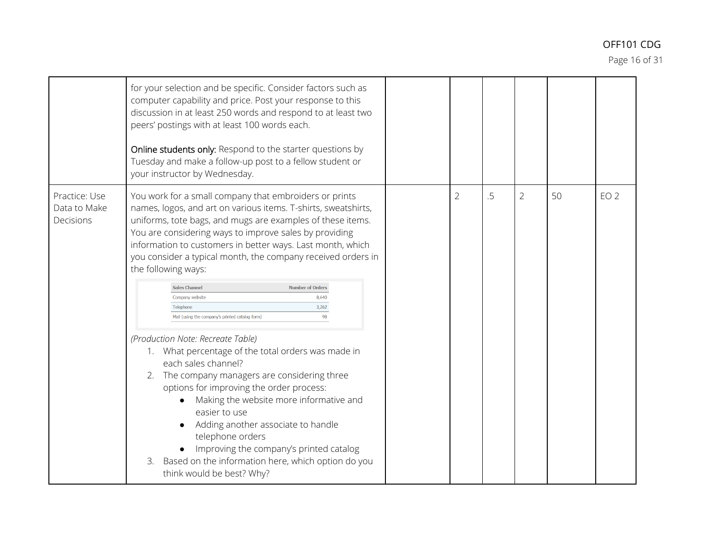Page 16 of 31

|                                            | for your selection and be specific. Consider factors such as<br>computer capability and price. Post your response to this<br>discussion in at least 250 words and respond to at least two<br>peers' postings with at least 100 words each.<br>Online students only: Respond to the starter questions by<br>Tuesday and make a follow-up post to a fellow student or<br>your instructor by Wednesday.                                                                                                                                                                                                                                                                                                                                                                                                                                                                                                                                                                                                                                            |                |    |                |    |                 |
|--------------------------------------------|-------------------------------------------------------------------------------------------------------------------------------------------------------------------------------------------------------------------------------------------------------------------------------------------------------------------------------------------------------------------------------------------------------------------------------------------------------------------------------------------------------------------------------------------------------------------------------------------------------------------------------------------------------------------------------------------------------------------------------------------------------------------------------------------------------------------------------------------------------------------------------------------------------------------------------------------------------------------------------------------------------------------------------------------------|----------------|----|----------------|----|-----------------|
| Practice: Use<br>Data to Make<br>Decisions | You work for a small company that embroiders or prints<br>names, logos, and art on various items. T-shirts, sweatshirts,<br>uniforms, tote bags, and mugs are examples of these items.<br>You are considering ways to improve sales by providing<br>information to customers in better ways. Last month, which<br>you consider a typical month, the company received orders in<br>the following ways:<br><b>Sales Channel</b><br><b>Number of Orders</b><br>8.640<br>Company website<br>3,262<br>Telephone<br>Mail (using the company's printed catalog form)<br>98<br>(Production Note: Recreate Table)<br>1. What percentage of the total orders was made in<br>each sales channel?<br>The company managers are considering three<br>2.<br>options for improving the order process:<br>Making the website more informative and<br>easier to use<br>Adding another associate to handle<br>telephone orders<br>Improving the company's printed catalog<br>Based on the information here, which option do you<br>3.<br>think would be best? Why? | $\overline{2}$ | .5 | $\overline{2}$ | 50 | EO <sub>2</sub> |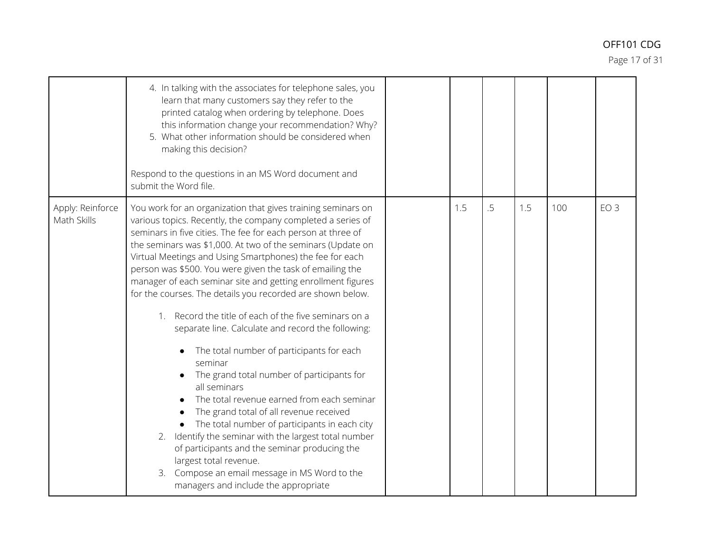Page 17 of 31

|                                 | 4. In talking with the associates for telephone sales, you<br>learn that many customers say they refer to the<br>printed catalog when ordering by telephone. Does<br>this information change your recommendation? Why?<br>5. What other information should be considered when<br>making this decision?<br>Respond to the questions in an MS Word document and<br>submit the Word file.                                                                                                                                                                                                                                                                                                                                                                                                                                                                                                                                                                                                                                                                                                                                                      |     |    |     |     |                 |
|---------------------------------|---------------------------------------------------------------------------------------------------------------------------------------------------------------------------------------------------------------------------------------------------------------------------------------------------------------------------------------------------------------------------------------------------------------------------------------------------------------------------------------------------------------------------------------------------------------------------------------------------------------------------------------------------------------------------------------------------------------------------------------------------------------------------------------------------------------------------------------------------------------------------------------------------------------------------------------------------------------------------------------------------------------------------------------------------------------------------------------------------------------------------------------------|-----|----|-----|-----|-----------------|
| Apply: Reinforce<br>Math Skills | You work for an organization that gives training seminars on<br>various topics. Recently, the company completed a series of<br>seminars in five cities. The fee for each person at three of<br>the seminars was \$1,000. At two of the seminars (Update on<br>Virtual Meetings and Using Smartphones) the fee for each<br>person was \$500. You were given the task of emailing the<br>manager of each seminar site and getting enrollment figures<br>for the courses. The details you recorded are shown below.<br>Record the title of each of the five seminars on a<br>$1_{\cdot}$<br>separate line. Calculate and record the following:<br>The total number of participants for each<br>seminar<br>The grand total number of participants for<br>all seminars<br>The total revenue earned from each seminar<br>The grand total of all revenue received<br>The total number of participants in each city<br>2. Identify the seminar with the largest total number<br>of participants and the seminar producing the<br>largest total revenue.<br>Compose an email message in MS Word to the<br>3.<br>managers and include the appropriate | 1.5 | .5 | 1.5 | 100 | EO <sub>3</sub> |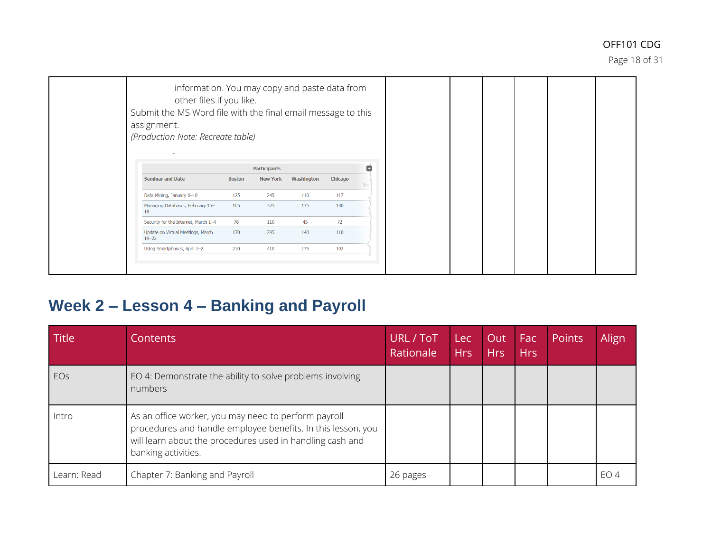Page 18 of 31

# **Week 2 – Lesson 4 – Banking and Payroll**

| <b>Title</b> | Contents                                                                                                                                                                                                 | URL / ToT<br>Rationale | Lec<br><b>Hrs</b> | Out<br><b>Hrs</b> | Fac<br><b>Hrs</b> | Points | Align |
|--------------|----------------------------------------------------------------------------------------------------------------------------------------------------------------------------------------------------------|------------------------|-------------------|-------------------|-------------------|--------|-------|
| EOs          | EO 4: Demonstrate the ability to solve problems involving<br>numbers                                                                                                                                     |                        |                   |                   |                   |        |       |
| Intro        | As an office worker, you may need to perform payroll<br>procedures and handle employee benefits. In this lesson, you<br>will learn about the procedures used in handling cash and<br>banking activities. |                        |                   |                   |                   |        |       |
| Learn: Read  | Chapter 7: Banking and Payroll                                                                                                                                                                           | 26 pages               |                   |                   |                   |        | EO 4  |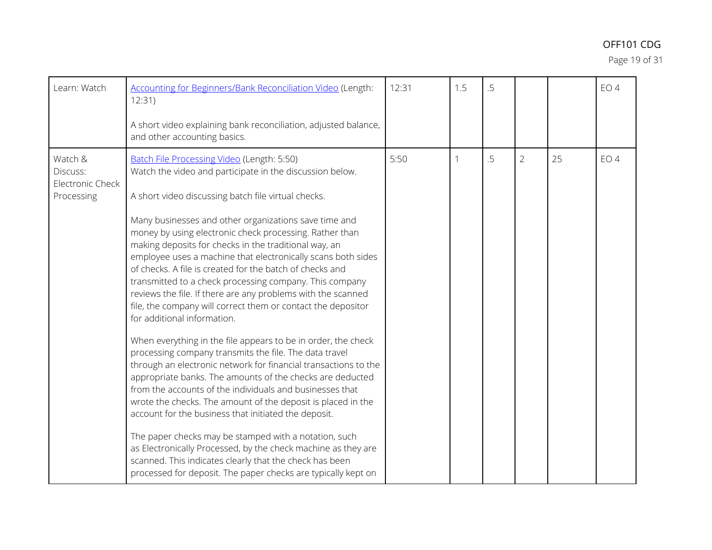Page 19 of 31

| Learn: Watch                                          | <b>Accounting for Beginners/Bank Reconciliation Video (Length:</b><br>12:31)<br>A short video explaining bank reconciliation, adjusted balance,<br>and other accounting basics.                                                                                                                                                                                                                                                                                                                                                                                                                                                                                                                                                                                                                                                                                                                                                                                                                                                                                                                                                                                                                                                                                                                                                                                                                       | 12:31 | 1.5 | .5 |                |    | EO <sub>4</sub> |
|-------------------------------------------------------|-------------------------------------------------------------------------------------------------------------------------------------------------------------------------------------------------------------------------------------------------------------------------------------------------------------------------------------------------------------------------------------------------------------------------------------------------------------------------------------------------------------------------------------------------------------------------------------------------------------------------------------------------------------------------------------------------------------------------------------------------------------------------------------------------------------------------------------------------------------------------------------------------------------------------------------------------------------------------------------------------------------------------------------------------------------------------------------------------------------------------------------------------------------------------------------------------------------------------------------------------------------------------------------------------------------------------------------------------------------------------------------------------------|-------|-----|----|----------------|----|-----------------|
| Watch &<br>Discuss:<br>Electronic Check<br>Processing | Batch File Processing Video (Length: 5:50)<br>Watch the video and participate in the discussion below.<br>A short video discussing batch file virtual checks.<br>Many businesses and other organizations save time and<br>money by using electronic check processing. Rather than<br>making deposits for checks in the traditional way, an<br>employee uses a machine that electronically scans both sides<br>of checks. A file is created for the batch of checks and<br>transmitted to a check processing company. This company<br>reviews the file. If there are any problems with the scanned<br>file, the company will correct them or contact the depositor<br>for additional information.<br>When everything in the file appears to be in order, the check<br>processing company transmits the file. The data travel<br>through an electronic network for financial transactions to the<br>appropriate banks. The amounts of the checks are deducted<br>from the accounts of the individuals and businesses that<br>wrote the checks. The amount of the deposit is placed in the<br>account for the business that initiated the deposit.<br>The paper checks may be stamped with a notation, such<br>as Electronically Processed, by the check machine as they are<br>scanned. This indicates clearly that the check has been<br>processed for deposit. The paper checks are typically kept on | 5:50  |     | .5 | $\overline{2}$ | 25 | EO <sub>4</sub> |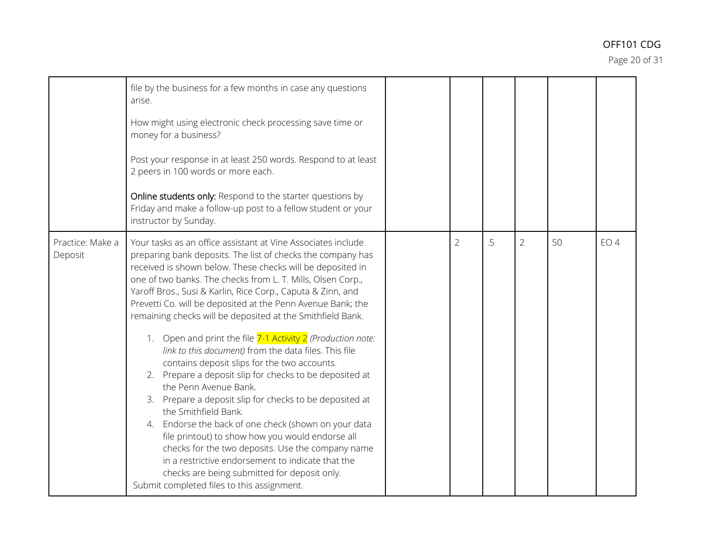Page 20 of 31

|                             | file by the business for a few months in case any questions<br>arise.<br>How might using electronic check processing save time or<br>money for a business?<br>Post your response in at least 250 words. Respond to at least<br>2 peers in 100 words or more each.<br>Online students only: Respond to the starter questions by<br>Friday and make a follow-up post to a fellow student or your<br>instructor by Sunday.                                                                                                                                                                                                                                                                                                                                                                                                                                                                                                                                                                                                                                                                                              |                |    |                |    |                 |
|-----------------------------|----------------------------------------------------------------------------------------------------------------------------------------------------------------------------------------------------------------------------------------------------------------------------------------------------------------------------------------------------------------------------------------------------------------------------------------------------------------------------------------------------------------------------------------------------------------------------------------------------------------------------------------------------------------------------------------------------------------------------------------------------------------------------------------------------------------------------------------------------------------------------------------------------------------------------------------------------------------------------------------------------------------------------------------------------------------------------------------------------------------------|----------------|----|----------------|----|-----------------|
| Practice: Make a<br>Deposit | Your tasks as an office assistant at Vine Associates include<br>preparing bank deposits. The list of checks the company has<br>received is shown below. These checks will be deposited in<br>one of two banks. The checks from L. T. Mills, Olsen Corp.,<br>Yaroff Bros., Susi & Karlin, Rice Corp., Caputa & Zinn, and<br>Prevetti Co. will be deposited at the Penn Avenue Bank; the<br>remaining checks will be deposited at the Smithfield Bank.<br>Open and print the file 7-1 Activity 2 (Production note:<br>link to this document) from the data files. This file<br>contains deposit slips for the two accounts.<br>2. Prepare a deposit slip for checks to be deposited at<br>the Penn Avenue Bank.<br>3. Prepare a deposit slip for checks to be deposited at<br>the Smithfield Bank.<br>4. Endorse the back of one check (shown on your data<br>file printout) to show how you would endorse all<br>checks for the two deposits. Use the company name<br>in a restrictive endorsement to indicate that the<br>checks are being submitted for deposit only.<br>Submit completed files to this assignment. | $\overline{2}$ | .5 | $\overline{2}$ | 50 | EO <sub>4</sub> |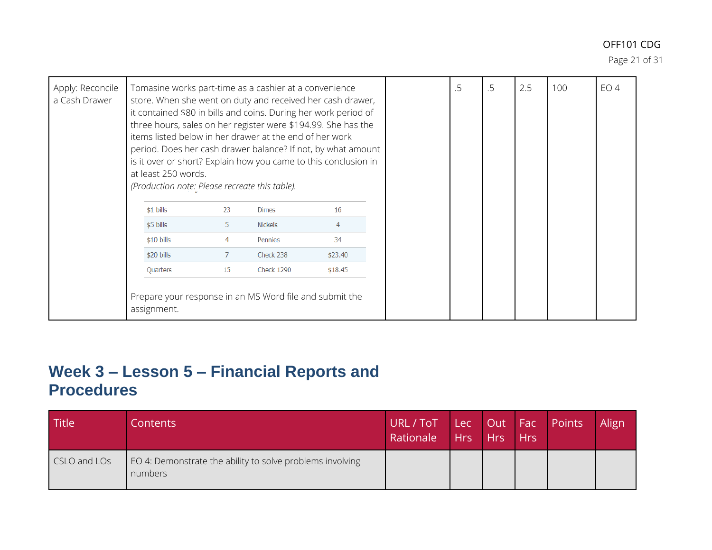Page 21 of 31

| Apply: Reconcile<br>a Cash Drawer | Tomasine works part-time as a cashier at a convenience<br>store. When she went on duty and received her cash drawer,<br>it contained \$80 in bills and coins. During her work period of<br>three hours, sales on her register were \$194.99. She has the<br>items listed below in her drawer at the end of her work<br>period. Does her cash drawer balance? If not, by what amount<br>is it over or short? Explain how you came to this conclusion in<br>at least 250 words.<br>(Production note: Please recreate this table). |                |                   |                | .5 | .5 | 2.5 | 100 | EO <sub>4</sub> |
|-----------------------------------|---------------------------------------------------------------------------------------------------------------------------------------------------------------------------------------------------------------------------------------------------------------------------------------------------------------------------------------------------------------------------------------------------------------------------------------------------------------------------------------------------------------------------------|----------------|-------------------|----------------|----|----|-----|-----|-----------------|
|                                   | $$1$ bills                                                                                                                                                                                                                                                                                                                                                                                                                                                                                                                      | 23             | <b>Dimes</b>      | 16             |    |    |     |     |                 |
|                                   | \$5 bills                                                                                                                                                                                                                                                                                                                                                                                                                                                                                                                       | 5              | <b>Nickels</b>    | $\overline{4}$ |    |    |     |     |                 |
|                                   | $$10 \text{ bills}$                                                                                                                                                                                                                                                                                                                                                                                                                                                                                                             | 4              | Pennies           | 34             |    |    |     |     |                 |
|                                   | \$20 bills                                                                                                                                                                                                                                                                                                                                                                                                                                                                                                                      | $\overline{7}$ | Check 238         | \$23.40        |    |    |     |     |                 |
|                                   | Quarters                                                                                                                                                                                                                                                                                                                                                                                                                                                                                                                        | 15             | <b>Check 1290</b> | \$18.45        |    |    |     |     |                 |
|                                   | Prepare your response in an MS Word file and submit the<br>assignment.                                                                                                                                                                                                                                                                                                                                                                                                                                                          |                |                   |                |    |    |     |     |                 |

### **Week 3 – Lesson 5 – Financial Reports and Procedures**

| Title        | Contents                                                             | URL/ToT Lec Out Fac Points<br>Rationale | Hrs Hrs Hrs |  | Align |
|--------------|----------------------------------------------------------------------|-----------------------------------------|-------------|--|-------|
| CSLO and LOs | EO 4: Demonstrate the ability to solve problems involving<br>numbers |                                         |             |  |       |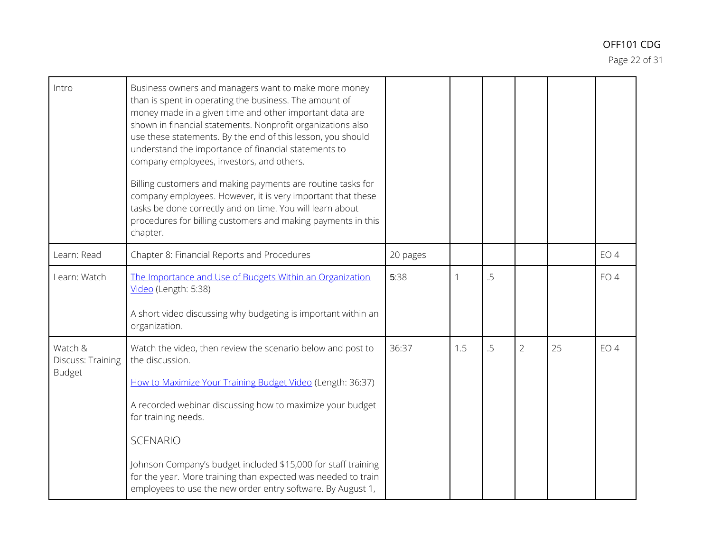Page 22 of 31

| Intro                                         | Business owners and managers want to make more money<br>than is spent in operating the business. The amount of<br>money made in a given time and other important data are<br>shown in financial statements. Nonprofit organizations also<br>use these statements. By the end of this lesson, you should<br>understand the importance of financial statements to<br>company employees, investors, and others.<br>Billing customers and making payments are routine tasks for<br>company employees. However, it is very important that these<br>tasks be done correctly and on time. You will learn about<br>procedures for billing customers and making payments in this<br>chapter. |          |     |    |                |    |                 |
|-----------------------------------------------|-------------------------------------------------------------------------------------------------------------------------------------------------------------------------------------------------------------------------------------------------------------------------------------------------------------------------------------------------------------------------------------------------------------------------------------------------------------------------------------------------------------------------------------------------------------------------------------------------------------------------------------------------------------------------------------|----------|-----|----|----------------|----|-----------------|
| Learn: Read                                   | Chapter 8: Financial Reports and Procedures                                                                                                                                                                                                                                                                                                                                                                                                                                                                                                                                                                                                                                         | 20 pages |     |    |                |    | EO <sub>4</sub> |
| Learn: Watch                                  | The Importance and Use of Budgets Within an Organization<br>Video (Length: 5:38)<br>A short video discussing why budgeting is important within an<br>organization.                                                                                                                                                                                                                                                                                                                                                                                                                                                                                                                  | 5:38     |     | .5 |                |    | EO <sub>4</sub> |
|                                               |                                                                                                                                                                                                                                                                                                                                                                                                                                                                                                                                                                                                                                                                                     |          |     |    |                |    |                 |
| Watch &<br>Discuss: Training<br><b>Budget</b> | Watch the video, then review the scenario below and post to<br>the discussion.<br>How to Maximize Your Training Budget Video (Length: 36:37)                                                                                                                                                                                                                                                                                                                                                                                                                                                                                                                                        | 36:37    | 1.5 | .5 | $\overline{2}$ | 25 | EO <sub>4</sub> |
|                                               | A recorded webinar discussing how to maximize your budget<br>for training needs.                                                                                                                                                                                                                                                                                                                                                                                                                                                                                                                                                                                                    |          |     |    |                |    |                 |
|                                               | <b>SCENARIO</b>                                                                                                                                                                                                                                                                                                                                                                                                                                                                                                                                                                                                                                                                     |          |     |    |                |    |                 |
|                                               | Johnson Company's budget included \$15,000 for staff training<br>for the year. More training than expected was needed to train<br>employees to use the new order entry software. By August 1,                                                                                                                                                                                                                                                                                                                                                                                                                                                                                       |          |     |    |                |    |                 |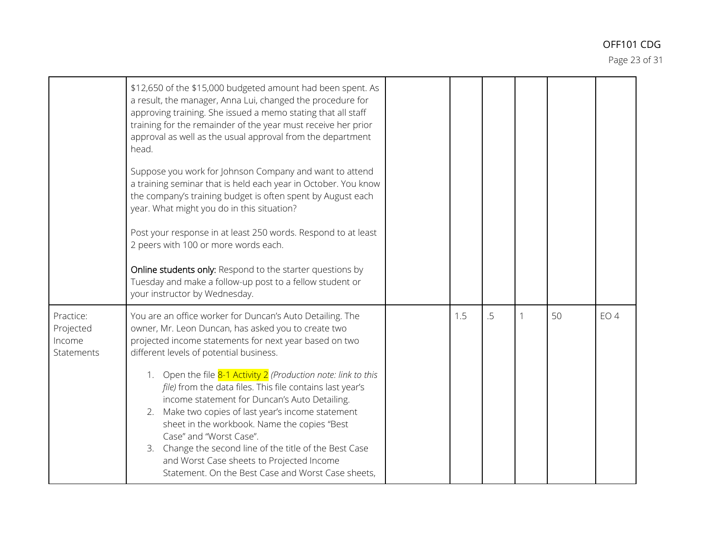Page 23 of 31

|                                                | \$12,650 of the \$15,000 budgeted amount had been spent. As<br>a result, the manager, Anna Lui, changed the procedure for<br>approving training. She issued a memo stating that all staff<br>training for the remainder of the year must receive her prior<br>approval as well as the usual approval from the department<br>head.<br>Suppose you work for Johnson Company and want to attend<br>a training seminar that is held each year in October. You know<br>the company's training budget is often spent by August each<br>year. What might you do in this situation?<br>Post your response in at least 250 words. Respond to at least<br>2 peers with 100 or more words each.<br>Online students only: Respond to the starter questions by<br>Tuesday and make a follow-up post to a fellow student or<br>your instructor by Wednesday. |  |     |    |   |    |        |
|------------------------------------------------|------------------------------------------------------------------------------------------------------------------------------------------------------------------------------------------------------------------------------------------------------------------------------------------------------------------------------------------------------------------------------------------------------------------------------------------------------------------------------------------------------------------------------------------------------------------------------------------------------------------------------------------------------------------------------------------------------------------------------------------------------------------------------------------------------------------------------------------------|--|-----|----|---|----|--------|
| Practice:<br>Projected<br>Income<br>Statements | You are an office worker for Duncan's Auto Detailing. The<br>owner, Mr. Leon Duncan, has asked you to create two<br>projected income statements for next year based on two<br>different levels of potential business.                                                                                                                                                                                                                                                                                                                                                                                                                                                                                                                                                                                                                          |  | 1.5 | .5 | 1 | 50 | $EO$ 4 |
|                                                | 1. Open the file 8-1 Activity 2 (Production note: link to this<br>file) from the data files. This file contains last year's<br>income statement for Duncan's Auto Detailing.<br>2. Make two copies of last year's income statement<br>sheet in the workbook. Name the copies "Best<br>Case" and "Worst Case".<br>3. Change the second line of the title of the Best Case<br>and Worst Case sheets to Projected Income<br>Statement. On the Best Case and Worst Case sheets,                                                                                                                                                                                                                                                                                                                                                                    |  |     |    |   |    |        |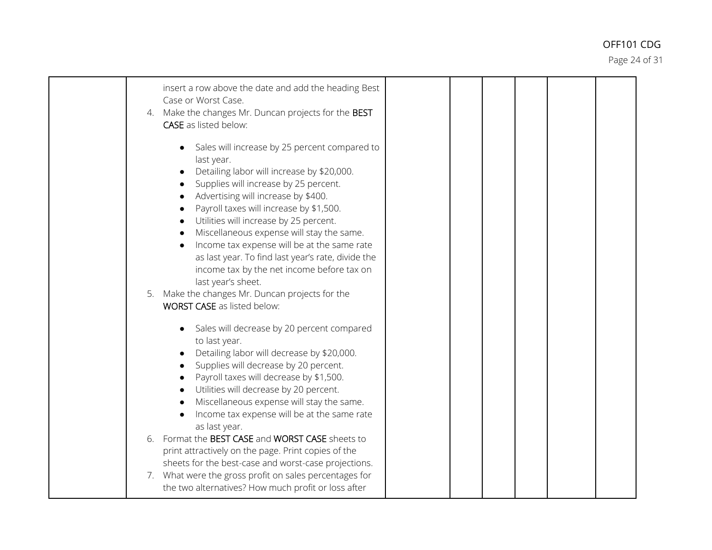Page 24 of 31

| insert a row above the date and add the heading Best<br>Case or Worst Case.<br>4. Make the changes Mr. Duncan projects for the BEST<br><b>CASE</b> as listed below:                                                                                                                                                                                                                                                                                                                                                                                                                                                                                   |  |  |  |
|-------------------------------------------------------------------------------------------------------------------------------------------------------------------------------------------------------------------------------------------------------------------------------------------------------------------------------------------------------------------------------------------------------------------------------------------------------------------------------------------------------------------------------------------------------------------------------------------------------------------------------------------------------|--|--|--|
| Sales will increase by 25 percent compared to<br>last year.<br>Detailing labor will increase by \$20,000.<br>Supplies will increase by 25 percent.<br>Advertising will increase by \$400.<br>Payroll taxes will increase by \$1,500.<br>$\bullet$<br>Utilities will increase by 25 percent.<br>Miscellaneous expense will stay the same.<br>Income tax expense will be at the same rate<br>as last year. To find last year's rate, divide the<br>income tax by the net income before tax on<br>last year's sheet.<br>5. Make the changes Mr. Duncan projects for the<br><b>WORST CASE</b> as listed below:                                            |  |  |  |
| Sales will decrease by 20 percent compared<br>to last year.<br>Detailing labor will decrease by \$20,000.<br>Supplies will decrease by 20 percent.<br>Payroll taxes will decrease by \$1,500.<br>Utilities will decrease by 20 percent.<br>$\bullet$<br>Miscellaneous expense will stay the same.<br>Income tax expense will be at the same rate<br>as last year.<br>6. Format the BEST CASE and WORST CASE sheets to<br>print attractively on the page. Print copies of the<br>sheets for the best-case and worst-case projections.<br>7. What were the gross profit on sales percentages for<br>the two alternatives? How much profit or loss after |  |  |  |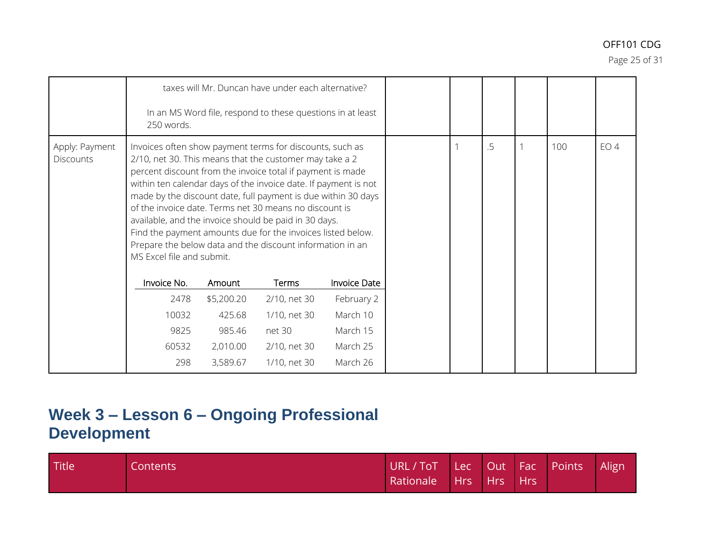Page 25 of 31

|                                    | 250 words.                                                                                                                                                                                                                                                                                                                                                                                                                                                                                                                                                                                        | taxes will Mr. Duncan have under each alternative?<br>In an MS Word file, respond to these questions in at least |              |                     |  |  |    |     |                 |
|------------------------------------|---------------------------------------------------------------------------------------------------------------------------------------------------------------------------------------------------------------------------------------------------------------------------------------------------------------------------------------------------------------------------------------------------------------------------------------------------------------------------------------------------------------------------------------------------------------------------------------------------|------------------------------------------------------------------------------------------------------------------|--------------|---------------------|--|--|----|-----|-----------------|
| Apply: Payment<br><b>Discounts</b> | Invoices often show payment terms for discounts, such as<br>2/10, net 30. This means that the customer may take a 2<br>percent discount from the invoice total if payment is made<br>within ten calendar days of the invoice date. If payment is not<br>made by the discount date, full payment is due within 30 days<br>of the invoice date. Terms net 30 means no discount is<br>available, and the invoice should be paid in 30 days.<br>Find the payment amounts due for the invoices listed below.<br>Prepare the below data and the discount information in an<br>MS Excel file and submit. |                                                                                                                  |              |                     |  |  | .5 | 100 | EO <sub>4</sub> |
|                                    | Invoice No.                                                                                                                                                                                                                                                                                                                                                                                                                                                                                                                                                                                       | Amount                                                                                                           | Terms        | <b>Invoice Date</b> |  |  |    |     |                 |
|                                    | 2478                                                                                                                                                                                                                                                                                                                                                                                                                                                                                                                                                                                              | \$5,200.20                                                                                                       | 2/10, net 30 | February 2          |  |  |    |     |                 |
|                                    | 10032                                                                                                                                                                                                                                                                                                                                                                                                                                                                                                                                                                                             | 425.68                                                                                                           | 1/10, net 30 | March 10            |  |  |    |     |                 |
|                                    | 9825                                                                                                                                                                                                                                                                                                                                                                                                                                                                                                                                                                                              | 985.46                                                                                                           | net 30       | March 15            |  |  |    |     |                 |
|                                    | 60532                                                                                                                                                                                                                                                                                                                                                                                                                                                                                                                                                                                             | 2,010.00                                                                                                         | 2/10, net 30 | March 25            |  |  |    |     |                 |
|                                    | 298                                                                                                                                                                                                                                                                                                                                                                                                                                                                                                                                                                                               | 3,589.67                                                                                                         | 1/10, net 30 | March 26            |  |  |    |     |                 |

# **Week 3 – Lesson 6 – Ongoing Professional Development**

| Title | Contents | URL/ToT Lec Out Fac Points Align |  |  |  |
|-------|----------|----------------------------------|--|--|--|
|       |          | Rationale Hrs Hrs Hrs            |  |  |  |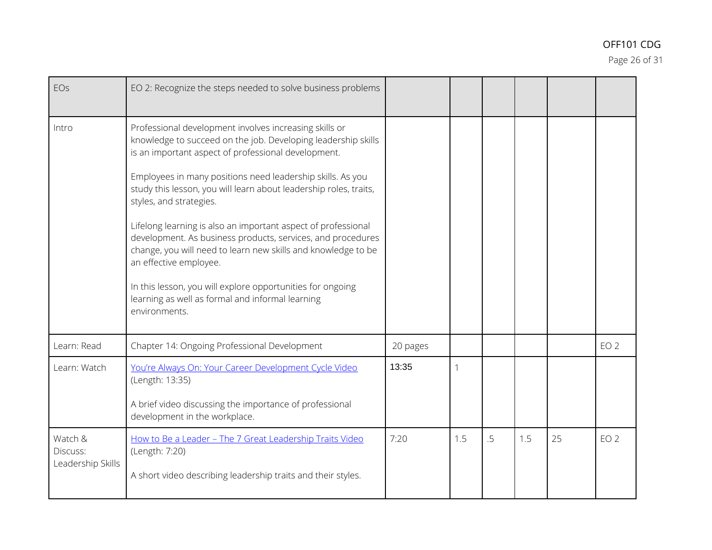Page 26 of 31

| EOs                                      | EO 2: Recognize the steps needed to solve business problems                                                                                                                                                             |          |     |    |     |    |                 |
|------------------------------------------|-------------------------------------------------------------------------------------------------------------------------------------------------------------------------------------------------------------------------|----------|-----|----|-----|----|-----------------|
| Intro                                    | Professional development involves increasing skills or<br>knowledge to succeed on the job. Developing leadership skills<br>is an important aspect of professional development.                                          |          |     |    |     |    |                 |
|                                          | Employees in many positions need leadership skills. As you<br>study this lesson, you will learn about leadership roles, traits,<br>styles, and strategies.                                                              |          |     |    |     |    |                 |
|                                          | Lifelong learning is also an important aspect of professional<br>development. As business products, services, and procedures<br>change, you will need to learn new skills and knowledge to be<br>an effective employee. |          |     |    |     |    |                 |
|                                          | In this lesson, you will explore opportunities for ongoing<br>learning as well as formal and informal learning<br>environments.                                                                                         |          |     |    |     |    |                 |
| Learn: Read                              | Chapter 14: Ongoing Professional Development                                                                                                                                                                            | 20 pages |     |    |     |    | EO <sub>2</sub> |
| Learn: Watch                             | You're Always On: Your Career Development Cycle Video<br>(Length: 13:35)                                                                                                                                                | 13:35    | 1   |    |     |    |                 |
|                                          | A brief video discussing the importance of professional<br>development in the workplace.                                                                                                                                |          |     |    |     |    |                 |
| Watch &<br>Discuss:<br>Leadership Skills | How to Be a Leader - The 7 Great Leadership Traits Video<br>(Length: 7:20)                                                                                                                                              | 7:20     | 1.5 | .5 | 1.5 | 25 | EO <sub>2</sub> |
|                                          | A short video describing leadership traits and their styles.                                                                                                                                                            |          |     |    |     |    |                 |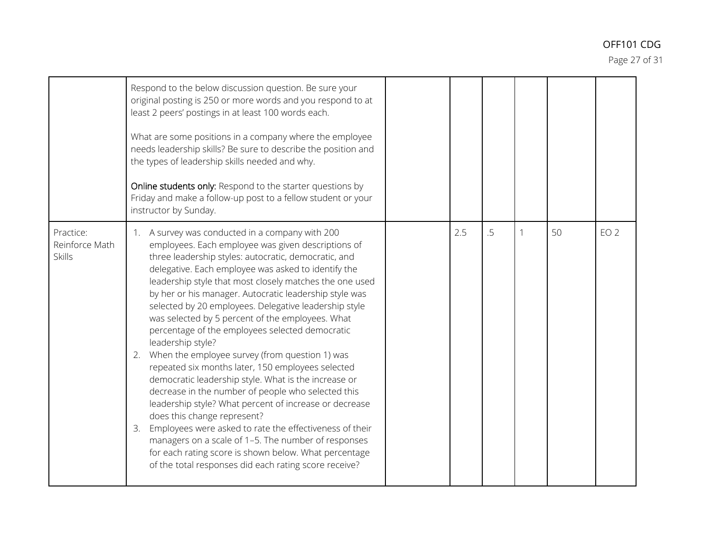Page 27 of 31

|                                              | Respond to the below discussion question. Be sure your<br>original posting is 250 or more words and you respond to at<br>least 2 peers' postings in at least 100 words each.<br>What are some positions in a company where the employee<br>needs leadership skills? Be sure to describe the position and<br>the types of leadership skills needed and why.<br>Online students only: Respond to the starter questions by<br>Friday and make a follow-up post to a fellow student or your<br>instructor by Sunday.                                                                                                                                                                                                                                                                                                                                                                                                                                                                                                                                                                             |     |    |    |    |                 |
|----------------------------------------------|----------------------------------------------------------------------------------------------------------------------------------------------------------------------------------------------------------------------------------------------------------------------------------------------------------------------------------------------------------------------------------------------------------------------------------------------------------------------------------------------------------------------------------------------------------------------------------------------------------------------------------------------------------------------------------------------------------------------------------------------------------------------------------------------------------------------------------------------------------------------------------------------------------------------------------------------------------------------------------------------------------------------------------------------------------------------------------------------|-----|----|----|----|-----------------|
| Practice:<br>Reinforce Math<br><b>Skills</b> | 1. A survey was conducted in a company with 200<br>employees. Each employee was given descriptions of<br>three leadership styles: autocratic, democratic, and<br>delegative. Each employee was asked to identify the<br>leadership style that most closely matches the one used<br>by her or his manager. Autocratic leadership style was<br>selected by 20 employees. Delegative leadership style<br>was selected by 5 percent of the employees. What<br>percentage of the employees selected democratic<br>leadership style?<br>When the employee survey (from question 1) was<br>2.<br>repeated six months later, 150 employees selected<br>democratic leadership style. What is the increase or<br>decrease in the number of people who selected this<br>leadership style? What percent of increase or decrease<br>does this change represent?<br>Employees were asked to rate the effectiveness of their<br>3.<br>managers on a scale of 1-5. The number of responses<br>for each rating score is shown below. What percentage<br>of the total responses did each rating score receive? | 2.5 | .5 | -1 | 50 | EO <sub>2</sub> |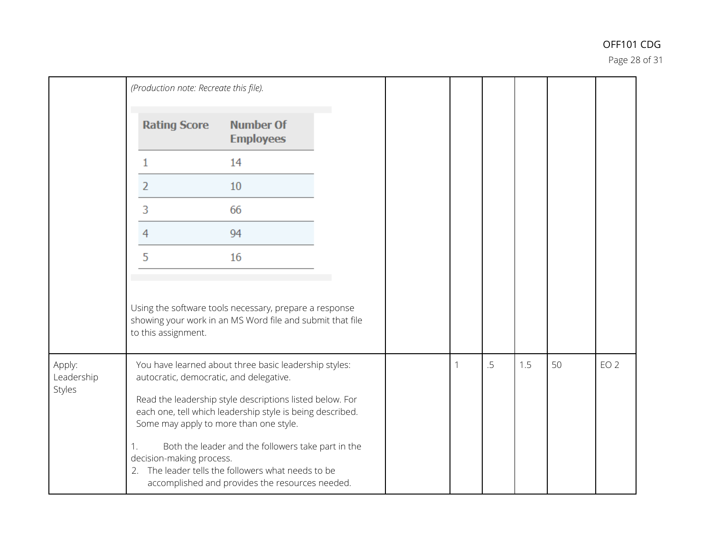Page 28 of 31

|                      | (Production note: Recreate this file). |                                                                                                                                                                 |  |   |    |     |    |                 |
|----------------------|----------------------------------------|-----------------------------------------------------------------------------------------------------------------------------------------------------------------|--|---|----|-----|----|-----------------|
|                      | <b>Rating Score</b>                    | <b>Number Of</b><br><b>Employees</b>                                                                                                                            |  |   |    |     |    |                 |
|                      |                                        | 14                                                                                                                                                              |  |   |    |     |    |                 |
|                      | 2                                      | 10                                                                                                                                                              |  |   |    |     |    |                 |
|                      | 3                                      | 66                                                                                                                                                              |  |   |    |     |    |                 |
|                      | 4                                      | 94                                                                                                                                                              |  |   |    |     |    |                 |
|                      | 5                                      | 16                                                                                                                                                              |  |   |    |     |    |                 |
|                      | to this assignment.                    | Using the software tools necessary, prepare a response<br>showing your work in an MS Word file and submit that file                                             |  |   |    |     |    |                 |
| Apply:<br>Leadership |                                        | You have learned about three basic leadership styles:<br>autocratic, democratic, and delegative.                                                                |  | 1 | .5 | 1.5 | 50 | EO <sub>2</sub> |
| Styles               |                                        | Read the leadership style descriptions listed below. For<br>each one, tell which leadership style is being described.<br>Some may apply to more than one style. |  |   |    |     |    |                 |
|                      | 1.<br>decision-making process.         | Both the leader and the followers take part in the<br>2. The leader tells the followers what needs to be<br>accomplished and provides the resources needed.     |  |   |    |     |    |                 |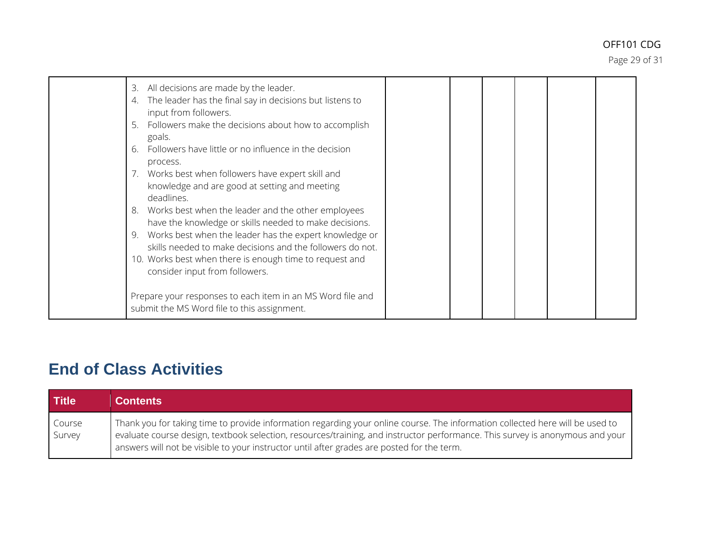Page 29 of 31

| All decisions are made by the leader.<br>3.<br>The leader has the final say in decisions but listens to<br>4.<br>input from followers.<br>Followers make the decisions about how to accomplish<br>5.<br>goals.<br>Followers have little or no influence in the decision<br>6.<br>process.<br>Works best when followers have expert skill and<br>knowledge and are good at setting and meeting<br>deadlines.<br>Works best when the leader and the other employees<br>8.<br>have the knowledge or skills needed to make decisions.<br>Works best when the leader has the expert knowledge or<br>skills needed to make decisions and the followers do not.<br>10. Works best when there is enough time to request and<br>consider input from followers. |  |  |  |
|-------------------------------------------------------------------------------------------------------------------------------------------------------------------------------------------------------------------------------------------------------------------------------------------------------------------------------------------------------------------------------------------------------------------------------------------------------------------------------------------------------------------------------------------------------------------------------------------------------------------------------------------------------------------------------------------------------------------------------------------------------|--|--|--|
| Prepare your responses to each item in an MS Word file and<br>submit the MS Word file to this assignment.                                                                                                                                                                                                                                                                                                                                                                                                                                                                                                                                                                                                                                             |  |  |  |

# **End of Class Activities**

| <b>Title</b>     | <b>Contents</b>                                                                                                                                                                                                                                                                                                                                              |
|------------------|--------------------------------------------------------------------------------------------------------------------------------------------------------------------------------------------------------------------------------------------------------------------------------------------------------------------------------------------------------------|
| Course<br>Survey | Thank you for taking time to provide information regarding your online course. The information collected here will be used to<br>evaluate course design, textbook selection, resources/training, and instructor performance. This survey is anonymous and your<br>answers will not be visible to your instructor until after grades are posted for the term. |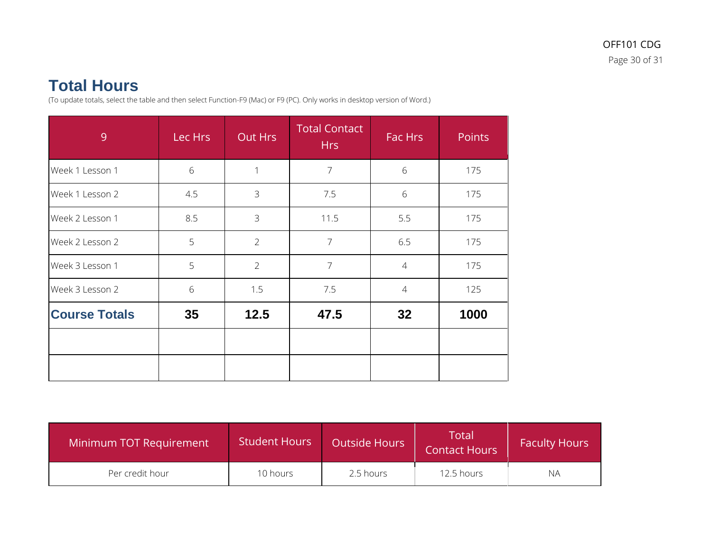## **Total Hours**

(To update totals, select the table and then select Function-F9 (Mac) or F9 (PC). Only works in desktop version of Word.)

| 9                    | Lec Hrs | Out Hrs        | <b>Total Contact</b><br><b>Hrs</b> | Fac Hrs        | <b>Points</b> |
|----------------------|---------|----------------|------------------------------------|----------------|---------------|
| Week 1 Lesson 1      | 6       |                | $\overline{7}$                     | 6              | 175           |
| Week 1 Lesson 2      | 4.5     | $\mathfrak{Z}$ | 7.5                                | 6              | 175           |
| Week 2 Lesson 1      | 8.5     | 3              | 11.5                               | 5.5            | 175           |
| Week 2 Lesson 2      | 5       | $\overline{2}$ | $\overline{7}$                     | 6.5            | 175           |
| Week 3 Lesson 1      | 5       | $\overline{2}$ | $\overline{7}$                     | $\overline{4}$ | 175           |
| Week 3 Lesson 2      | 6       | 1.5            | 7.5                                | $\overline{4}$ | 125           |
| <b>Course Totals</b> | 35      | 12.5           | 47.5                               | 32             | 1000          |
|                      |         |                |                                    |                |               |

| Minimum TOT Requirement | <b>Student Hours</b> | <b>Outside Hours</b> | $\sf Total$<br><b>Contact Hours</b> | <b>Faculty Hours</b> |
|-------------------------|----------------------|----------------------|-------------------------------------|----------------------|
| Per credit hour         | 10 hours             | 2.5 hours            | 12.5 hours                          | NА                   |